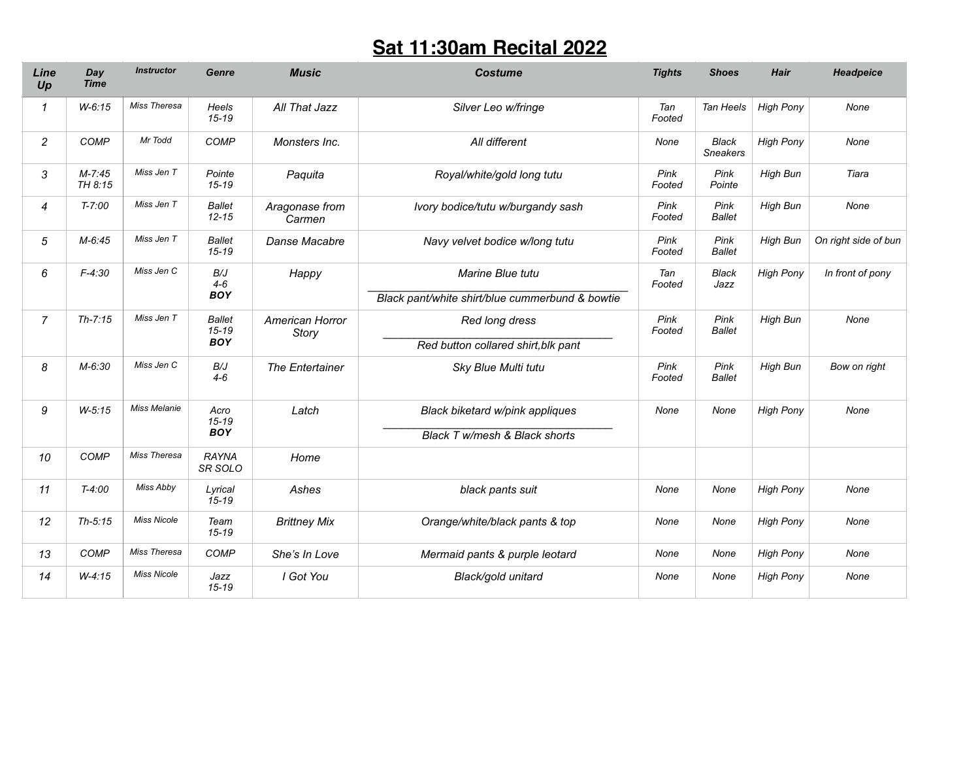## **Sat 11:30am Recital 2022**

| Line<br>Up     | Day<br><b>Time</b>    | <b>Instructor</b>   | Genre                                    | <b>Music</b>             | <b>Costume</b>                                                      | <b>Tights</b>  | <b>Shoes</b>                    | <b>Hair</b>      | Headpeice            |
|----------------|-----------------------|---------------------|------------------------------------------|--------------------------|---------------------------------------------------------------------|----------------|---------------------------------|------------------|----------------------|
| $\mathcal I$   | $W-6:15$              | Miss Theresa        | Heels<br>$15 - 19$                       | All That Jazz            | Silver Leo w/fringe                                                 | Tan<br>Footed  | Tan Heels                       | <b>High Pony</b> | None                 |
| $\overline{c}$ | COMP                  | Mr Todd             | <b>COMP</b>                              | Monsters Inc.            | All different                                                       | None           | <b>Black</b><br><b>Sneakers</b> | <b>High Pony</b> | None                 |
| 3              | $M - 7:45$<br>TH 8:15 | Miss Jen T          | Pointe<br>$15 - 19$                      | Paquita                  | Royal/white/gold long tutu                                          | Pink<br>Footed | Pink<br>Pointe                  | High Bun         | Tiara                |
| $\overline{4}$ | $T - 7:00$            | Miss Jen T          | <b>Ballet</b><br>$12 - 15$               | Aragonase from<br>Carmen | Ivory bodice/tutu w/burgandy sash                                   | Pink<br>Footed | Pink<br><b>Ballet</b>           | <b>High Bun</b>  | None                 |
| 5              | $M-6:45$              | Miss Jen T          | <b>Ballet</b><br>$15 - 19$               | Danse Macabre            | Navy velvet bodice w/long tutu                                      | Pink<br>Footed | Pink<br><b>Ballet</b>           | <b>High Bun</b>  | On right side of bun |
| 6              | $F-4:30$              | Miss Jen C          | B/J<br>$4 - 6$<br><b>BOY</b>             | Happy                    | Marine Blue tutu<br>Black pant/white shirt/blue cummerbund & bowtie | Tan<br>Footed  | <b>Black</b><br>Jazz            | <b>High Pony</b> | In front of pony     |
| $\overline{7}$ | $Th - 7:15$           | Miss Jen T          | <b>Ballet</b><br>$15 - 19$<br><b>BOY</b> | American Horror<br>Story | Red long dress<br>Red button collared shirt, blk pant               | Pink<br>Footed | Pink<br><b>Ballet</b>           | High Bun         | None                 |
| 8              | $M-6:30$              | Miss Jen C          | B/J<br>$4 - 6$                           | The Entertainer          | Sky Blue Multi tutu                                                 | Pink<br>Footed | Pink<br><b>Ballet</b>           | <b>High Bun</b>  | Bow on right         |
| 9              | $W-5:15$              | <b>Miss Melanie</b> | Acro<br>$15 - 19$<br><b>BOY</b>          | Latch                    | Black biketard w/pink appliques<br>Black T w/mesh & Black shorts    | None           | None                            | <b>High Pony</b> | None                 |
| 10             | <b>COMP</b>           | Miss Theresa        | <b>RAYNA</b><br>SR SOLO                  | Home                     |                                                                     |                |                                 |                  |                      |
| 11             | $T-4:00$              | Miss Abby           | Lyrical<br>$15 - 19$                     | Ashes                    | black pants suit                                                    | None           | None                            | <b>High Pony</b> | None                 |
| 12             | $Th-5:15$             | <b>Miss Nicole</b>  | Team<br>$15 - 19$                        | <b>Brittney Mix</b>      | Orange/white/black pants & top                                      | None           | None                            | <b>High Pony</b> | None                 |
| 13             | <b>COMP</b>           | Miss Theresa        | <b>COMP</b>                              | She's In Love            | Mermaid pants & purple leotard                                      | None           | None                            | <b>High Pony</b> | None                 |
| 14             | $W-4:15$              | <b>Miss Nicole</b>  | Jazz<br>$15 - 19$                        | I Got You                | Black/gold unitard                                                  | None           | None                            | <b>High Pony</b> | None                 |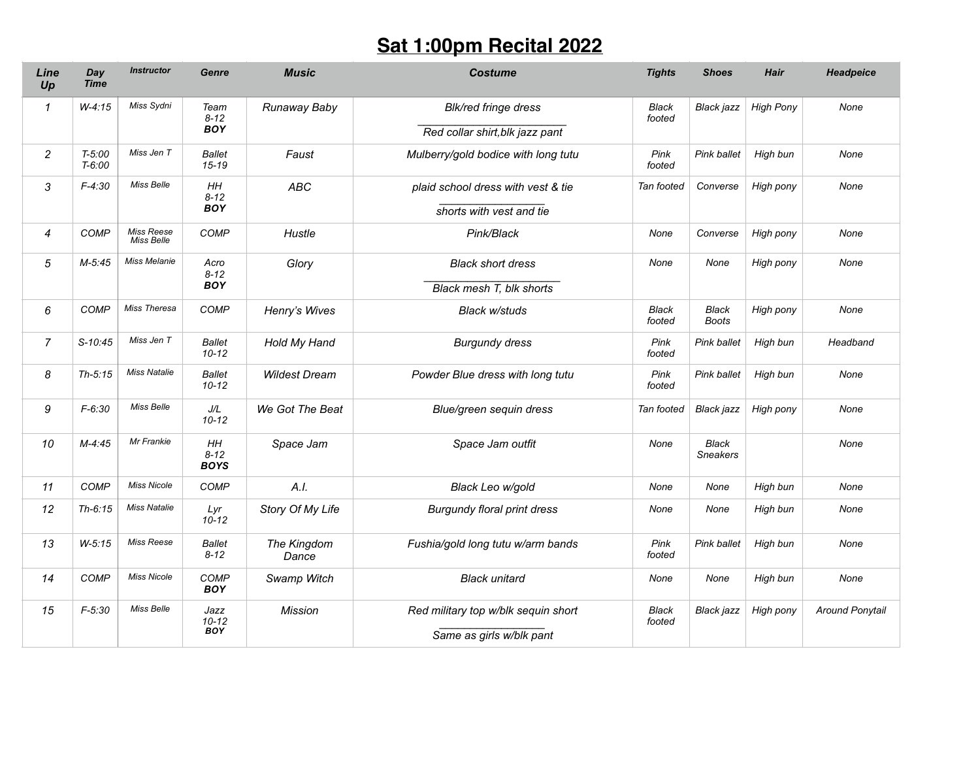## **Sat 1:00pm Recital 2022**

| Line<br>Up     | Day<br><b>Time</b>     | <b>Instructor</b>        | Genre                           | <b>Music</b>         | <b>Costume</b>                                                  | <b>Tights</b>          | <b>Shoes</b>             | <b>Hair</b>      | Headpeice              |
|----------------|------------------------|--------------------------|---------------------------------|----------------------|-----------------------------------------------------------------|------------------------|--------------------------|------------------|------------------------|
| $\mathcal I$   | $W-4:15$               | Miss Sydni               | Team<br>$8 - 12$<br><b>BOY</b>  | Runaway Baby         | Blk/red fringe dress<br>Red collar shirt, blk jazz pant         | Black<br>footed        | Black jazz               | <b>High Pony</b> | None                   |
| $\overline{c}$ | $T - 5:00$<br>$T-6:00$ | Miss Jen T               | <b>Ballet</b><br>$15 - 19$      | Faust                | Mulberry/gold bodice with long tutu                             | Pink<br>footed         | Pink ballet              | High bun         | None                   |
| 3              | $F-4:30$               | Miss Belle               | HH<br>$8 - 12$<br><b>BOY</b>    | <b>ABC</b>           | plaid school dress with vest & tie<br>shorts with vest and tie  | Tan footed             | Converse                 | High pony        | None                   |
| $\overline{4}$ | <b>COMP</b>            | Miss Reese<br>Miss Belle | <b>COMP</b>                     | Hustle               | Pink/Black                                                      | None                   | Converse                 | High pony        | None                   |
| 5              | $M-5:45$               | <b>Miss Melanie</b>      | Acro<br>$8 - 12$<br><b>BOY</b>  | Glory                | <b>Black short dress</b><br>Black mesh T, blk shorts            | None                   | None                     | High pony        | None                   |
| 6              | <b>COMP</b>            | Miss Theresa             | COMP                            | Henry's Wives        | Black w/studs                                                   | Black<br>footed        | Black<br><b>Boots</b>    | High pony        | None                   |
| $\overline{7}$ | $S-10:45$              | Miss Jen T               | <b>Ballet</b><br>$10 - 12$      | Hold My Hand         | <b>Burgundy dress</b>                                           | Pink<br>footed         | Pink ballet              | High bun         | Headband               |
| 8              | $Th-5:15$              | <b>Miss Natalie</b>      | <b>Ballet</b><br>$10 - 12$      | <b>Wildest Dream</b> | Powder Blue dress with long tutu                                | Pink<br>footed         | Pink ballet              | High bun         | None                   |
| 9              | $F-6:30$               | Miss Belle               | J/L<br>$10 - 12$                | We Got The Beat      | Blue/green sequin dress                                         | Tan footed             | Black jazz               | High pony        | None                   |
| 10             | $M-4:45$               | Mr Frankie               | HH<br>$8 - 12$<br><b>BOYS</b>   | Space Jam            | Space Jam outfit                                                | None                   | Black<br><b>Sneakers</b> |                  | None                   |
| 11             | <b>COMP</b>            | <b>Miss Nicole</b>       | COMP                            | A.I.                 | Black Leo w/gold                                                | None                   | None                     | High bun         | None                   |
| 12             | $Th-6:15$              | <b>Miss Natalie</b>      | Lyr<br>$10 - 12$                | Story Of My Life     | <b>Burgundy floral print dress</b>                              | None                   | None                     | High bun         | None                   |
| 13             | $W-5:15$               | <b>Miss Reese</b>        | <b>Ballet</b><br>$8 - 12$       | The Kingdom<br>Dance | Fushia/gold long tutu w/arm bands                               | Pink<br>footed         | Pink ballet              | High bun         | None                   |
| 14             | COMP                   | <b>Miss Nicole</b>       | <b>COMP</b><br><b>BOY</b>       | Swamp Witch          | <b>Black unitard</b>                                            | None                   | None                     | High bun         | None                   |
| 15             | $F-5:30$               | Miss Belle               | Jazz<br>$10 - 12$<br><b>BOY</b> | <b>Mission</b>       | Red military top w/blk sequin short<br>Same as girls w/blk pant | <b>Black</b><br>footed | <b>Black jazz</b>        | High pony        | <b>Around Ponytail</b> |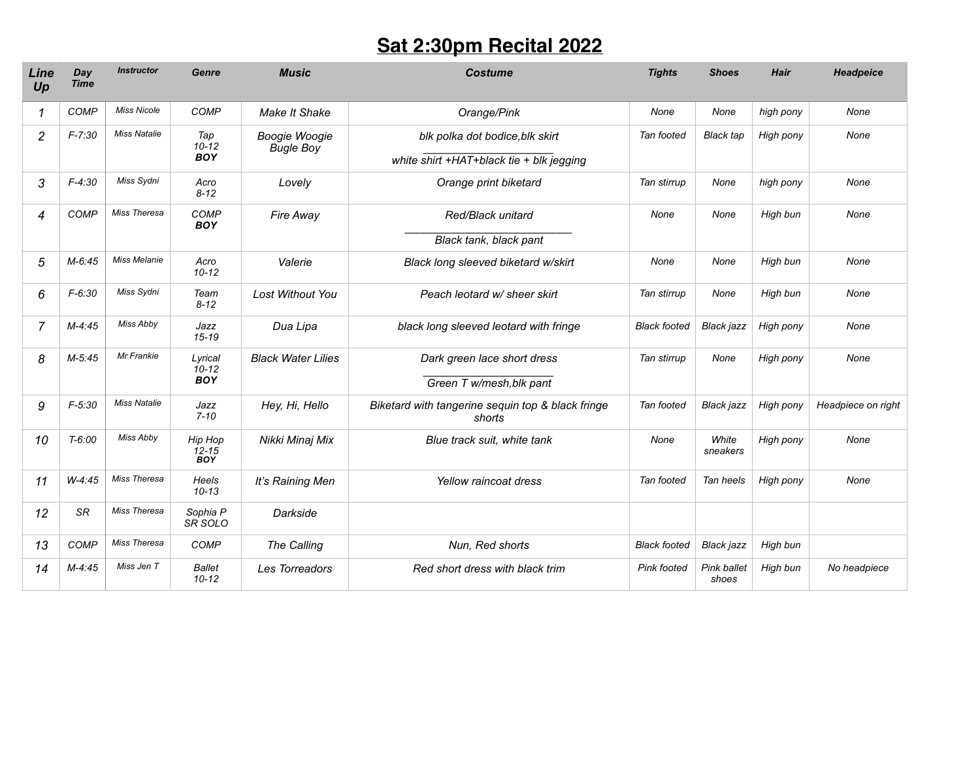## **Sat 2:30pm Recital 2022**

| Line<br>Up     | Day<br><b>Time</b> | <b>Instructor</b>   | Genre                              | <b>Music</b>                      | <b>Costume</b>                                                              | <b>Tights</b>       | <b>Shoes</b>         | <b>Hair</b> | Headpeice          |
|----------------|--------------------|---------------------|------------------------------------|-----------------------------------|-----------------------------------------------------------------------------|---------------------|----------------------|-------------|--------------------|
| 1              | COMP               | <b>Miss Nicole</b>  | <b>COMP</b>                        | Make It Shake                     | Orange/Pink                                                                 | None                | None                 | high pony   | None               |
| $\overline{c}$ | $F - 7:30$         | <b>Miss Natalie</b> | Tap<br>$10 - 12$<br><b>BOY</b>     | Boogie Woogie<br><b>Bugle Boy</b> | blk polka dot bodice, blk skirt<br>white shirt +HAT+black tie + blk jegging | Tan footed          | <b>Black tap</b>     | High pony   | None               |
| 3              | $F-4:30$           | Miss Sydni          | Acro<br>$8 - 12$                   | Lovely                            | Orange print biketard                                                       | Tan stirrup         | None                 | high pony   | None               |
| 4              | <b>COMP</b>        | Miss Theresa        | <b>COMP</b><br><b>BOY</b>          | Fire Away                         | Red/Black unitard<br>Black tank, black pant                                 | None                | None                 | High bun    | None               |
| 5              | $M - 6:45$         | <b>Miss Melanie</b> | Acro<br>$10 - 12$                  | Valerie                           | Black long sleeved biketard w/skirt                                         | None                | None                 | High bun    | None               |
| 6              | $F - 6:30$         | Miss Sydni          | Team<br>$8 - 12$                   | Lost Without You                  | Peach leotard w/ sheer skirt                                                | Tan stirrup         | None                 | High bun    | None               |
| $\overline{7}$ | $M-4:45$           | Miss Abby           | Jazz<br>$15 - 19$                  | Dua Lipa                          | black long sleeved leotard with fringe                                      | <b>Black footed</b> | Black jazz           | High pony   | None               |
| 8              | $M-5:45$           | Mr Frankie          | Lyrical<br>$10 - 12$<br><b>BOY</b> | <b>Black Water Lilies</b>         | Dark green lace short dress<br>Green T w/mesh, blk pant                     | Tan stirrup         | None                 | High pony   | None               |
| 9              | $F - 5:30$         | <b>Miss Natalie</b> | Jazz<br>$7 - 10$                   | Hey, Hi, Hello                    | Biketard with tangerine sequin top & black fringe<br>shorts                 | Tan footed          | Black jazz           | High pony   | Headpiece on right |
| 10             | $T - 6:00$         | Miss Abby           | Hip Hop<br>$12-15$<br>BOY          | Nikki Minaj Mix                   | Blue track suit, white tank                                                 | None                | White<br>sneakers    | High pony   | None               |
| 11             | $W-4:45$           | Miss Theresa        | Heels<br>$10 - 13$                 | It's Raining Men                  | Yellow raincoat dress                                                       | Tan footed          | Tan heels            | High pony   | None               |
| 12             | <b>SR</b>          | Miss Theresa        | Sophia P<br>SR SOLO                | Darkside                          |                                                                             |                     |                      |             |                    |
| 13             | <b>COMP</b>        | Miss Theresa        | <b>COMP</b>                        | The Calling                       | Nun, Red shorts                                                             | <b>Black footed</b> | Black jazz           | High bun    |                    |
| 14             | $M-4:45$           | Miss Jen T          | <b>Ballet</b><br>$10 - 12$         | Les Torreadors                    | Red short dress with black trim                                             | Pink footed         | Pink ballet<br>shoes | High bun    | No headpiece       |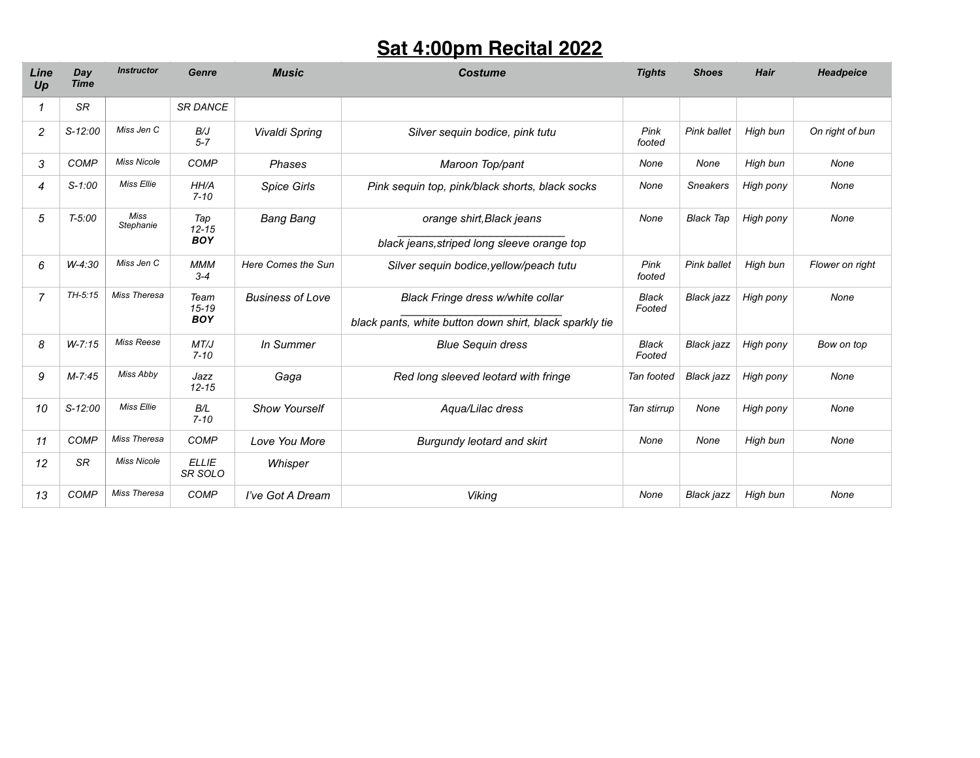## **Sat 4:00pm Recital 2022**

| Line<br>Up     | <b>Day</b><br><b>Time</b> | <b>Instructor</b>  | Genre                           | <b>Music</b>            | <b>Costume</b>                                                                               | <b>Tights</b>   | <b>Shoes</b>      | <b>Hair</b> | <b>Headpeice</b> |
|----------------|---------------------------|--------------------|---------------------------------|-------------------------|----------------------------------------------------------------------------------------------|-----------------|-------------------|-------------|------------------|
| 1              | SR                        |                    | <b>SR DANCE</b>                 |                         |                                                                                              |                 |                   |             |                  |
| 2              | $S-12:00$                 | Miss Jen C         | B/J<br>$5 - 7$                  | Vivaldi Spring          | Silver sequin bodice, pink tutu                                                              | Pink<br>footed  | Pink ballet       | High bun    | On right of bun  |
| 3              | COMP                      | <b>Miss Nicole</b> | <b>COMP</b>                     | Phases                  | Maroon Top/pant                                                                              | None            | None              | High bun    | None             |
| $\overline{4}$ | $S-1:00$                  | Miss Ellie         | HH/A<br>$7 - 10$                | <b>Spice Girls</b>      | Pink sequin top, pink/black shorts, black socks                                              | None            | <b>Sneakers</b>   | High pony   | None             |
| 5              | $T - 5:00$                | Miss<br>Stephanie  | Tap<br>$12 - 15$<br><b>BOY</b>  | <b>Bang Bang</b>        | orange shirt, Black jeans<br>black jeans, striped long sleeve orange top                     | None            | <b>Black Tap</b>  | High pony   | None             |
| 6              | $W-4:30$                  | Miss Jen C         | <b>MMM</b><br>$3 - 4$           | Here Comes the Sun      | Silver sequin bodice, yellow/peach tutu                                                      | Pink<br>footed  | Pink ballet       | High bun    | Flower on right  |
| $\overline{7}$ | $TH-5:15$                 | Miss Theresa       | Team<br>$15 - 19$<br><b>BOY</b> | <b>Business of Love</b> | Black Fringe dress w/white collar<br>black pants, white button down shirt, black sparkly tie | Black<br>Footed | Black jazz        | High pony   | None             |
| 8              | $W - 7:15$                | Miss Reese         | MT/J<br>$7 - 10$                | In Summer               | <b>Blue Sequin dress</b>                                                                     | Black<br>Footed | <b>Black jazz</b> | High pony   | Bow on top       |
| 9              | M-7:45                    | Miss Abby          | Jazz<br>$12 - 15$               | Gaga                    | Red long sleeved leotard with fringe                                                         | Tan footed      | Black jazz        | High pony   | None             |
| 10             | $S-12:00$                 | Miss Ellie         | B/L<br>$7 - 10$                 | <b>Show Yourself</b>    | Aqua/Lilac dress                                                                             | Tan stirrup     | None              | High pony   | None             |
| 11             | <b>COMP</b>               | Miss Theresa       | <b>COMP</b>                     | Love You More           | Burgundy leotard and skirt                                                                   | None            | None              | High bun    | None             |
| 12             | <b>SR</b>                 | <b>Miss Nicole</b> | <b>ELLIE</b><br>SR SOLO         | Whisper                 |                                                                                              |                 |                   |             |                  |
| 13             | <b>COMP</b>               | Miss Theresa       | <b>COMP</b>                     | I've Got A Dream        | <b>Viking</b>                                                                                | None            | Black jazz        | High bun    | None             |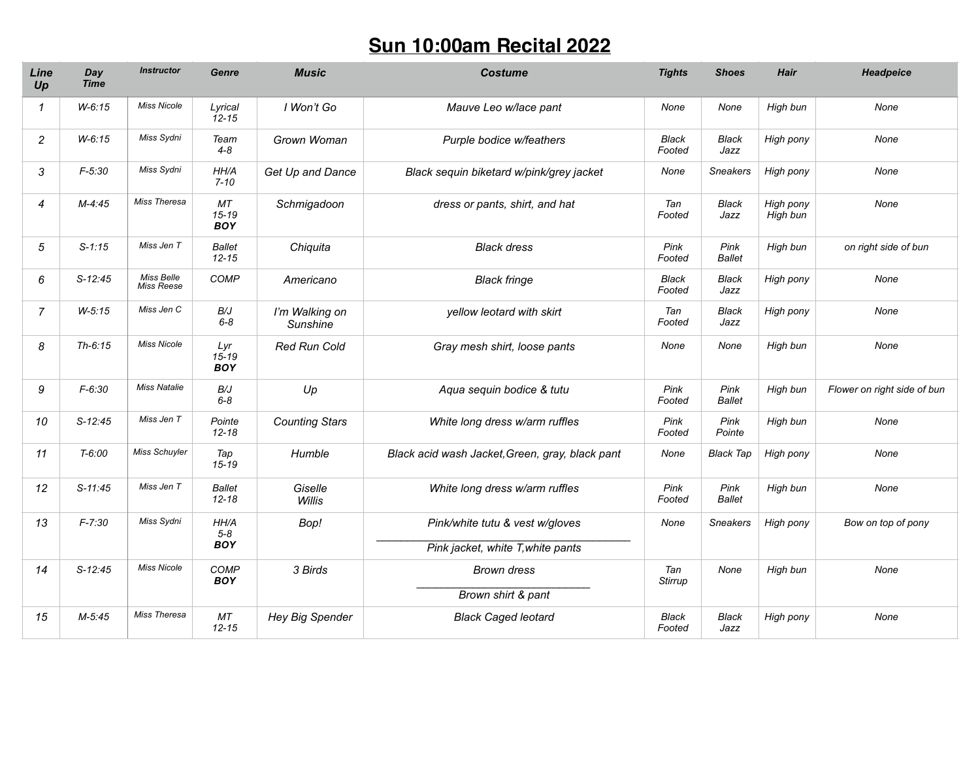#### **Sun 10:00am Recital 2022**

| Line<br>Up     | Day<br><b>Time</b> | <b>Instructor</b>        | Genre                          | <b>Music</b>               | <b>Costume</b>                                  | <b>Tights</b>         | <b>Shoes</b>          | <b>Hair</b>           | Headpeice                   |
|----------------|--------------------|--------------------------|--------------------------------|----------------------------|-------------------------------------------------|-----------------------|-----------------------|-----------------------|-----------------------------|
| $\mathcal I$   | $W-6:15$           | <b>Miss Nicole</b>       | Lyrical<br>$12 - 15$           | I Won't Go                 | Mauve Leo w/lace pant                           | None                  | None                  | High bun              | None                        |
| $\overline{c}$ | $W-6:15$           | Miss Sydni               | Team<br>$4 - 8$                | Grown Woman                | Purple bodice w/feathers                        | Black<br>Footed       | <b>Black</b><br>Jazz  | High pony             | None                        |
| 3              | $F-5:30$           | Miss Sydni               | HH/A<br>$7 - 10$               | Get Up and Dance           | Black sequin biketard w/pink/grey jacket        | None                  | <b>Sneakers</b>       | High pony             | None                        |
| $\overline{4}$ | $M-4:45$           | Miss Theresa             | MT<br>$15 - 19$<br><b>BOY</b>  | Schmigadoon                | dress or pants, shirt, and hat                  | Tan<br>Footed         | Black<br>Jazz         | High pony<br>High bun | None                        |
| 5              | $S-1:15$           | Miss Jen T               | <b>Ballet</b><br>$12 - 15$     | Chiquita                   | <b>Black dress</b>                              | Pink<br>Footed        | Pink<br><b>Ballet</b> | High bun              | on right side of bun        |
| 6              | $S-12:45$          | Miss Belle<br>Miss Reese | <b>COMP</b>                    | Americano                  | <b>Black fringe</b>                             | Black<br>Footed       | <b>Black</b><br>Jazz  | High pony             | None                        |
| $\overline{7}$ | $W-5:15$           | Miss Jen C               | $B/J$<br>$6 - 8$               | I'm Walking on<br>Sunshine | yellow leotard with skirt                       | Tan<br>Footed         | Black<br>Jazz         | High pony             | None                        |
| 8              | $Th-6:15$          | <b>Miss Nicole</b>       | Lyr<br>$15 - 19$<br><b>BOY</b> | <b>Red Run Cold</b>        | Gray mesh shirt, loose pants                    | None                  | None                  | High bun              | None                        |
| 9              | $F - 6:30$         | <b>Miss Natalie</b>      | B/J<br>$6 - 8$                 | Up                         | Aqua sequin bodice & tutu                       | Pink<br>Footed        | Pink<br><b>Ballet</b> | High bun              | Flower on right side of bun |
| 10             | $S-12:45$          | Miss Jen T               | Pointe<br>$12 - 18$            | <b>Counting Stars</b>      | White long dress w/arm ruffles                  | Pink<br>Footed        | Pink<br>Pointe        | High bun              | None                        |
| 11             | $T-6:00$           | Miss Schuyler            | Tap<br>$15 - 19$               | Humble                     | Black acid wash Jacket, Green, gray, black pant | None                  | <b>Black Tap</b>      | High pony             | None                        |
| 12             | $S-11:45$          | Miss Jen T               | <b>Ballet</b><br>$12 - 18$     | Giselle<br>Willis          | White long dress w/arm ruffles                  | Pink<br>Footed        | Pink<br><b>Ballet</b> | High bun              | None                        |
| 13             | $F - 7:30$         | Miss Sydni               | HH/A<br>$5 - 8$                | Bop!                       | Pink/white tutu & vest w/gloves                 | None                  | <b>Sneakers</b>       | High pony             | Bow on top of pony          |
|                |                    |                          | <b>BOY</b>                     |                            | Pink jacket, white T, white pants               |                       |                       |                       |                             |
| 14             | $S-12:45$          | <b>Miss Nicole</b>       | COMP<br><b>BOY</b>             | 3 Birds                    | <b>Brown dress</b>                              | Tan<br><b>Stirrup</b> | None                  | High bun              | None                        |
|                |                    |                          |                                |                            | Brown shirt & pant                              |                       |                       |                       |                             |
| 15             | $M-5:45$           | Miss Theresa             | MT<br>$12 - 15$                | Hey Big Spender            | <b>Black Caged leotard</b>                      | Black<br>Footed       | <b>Black</b><br>Jazz  | High pony             | None                        |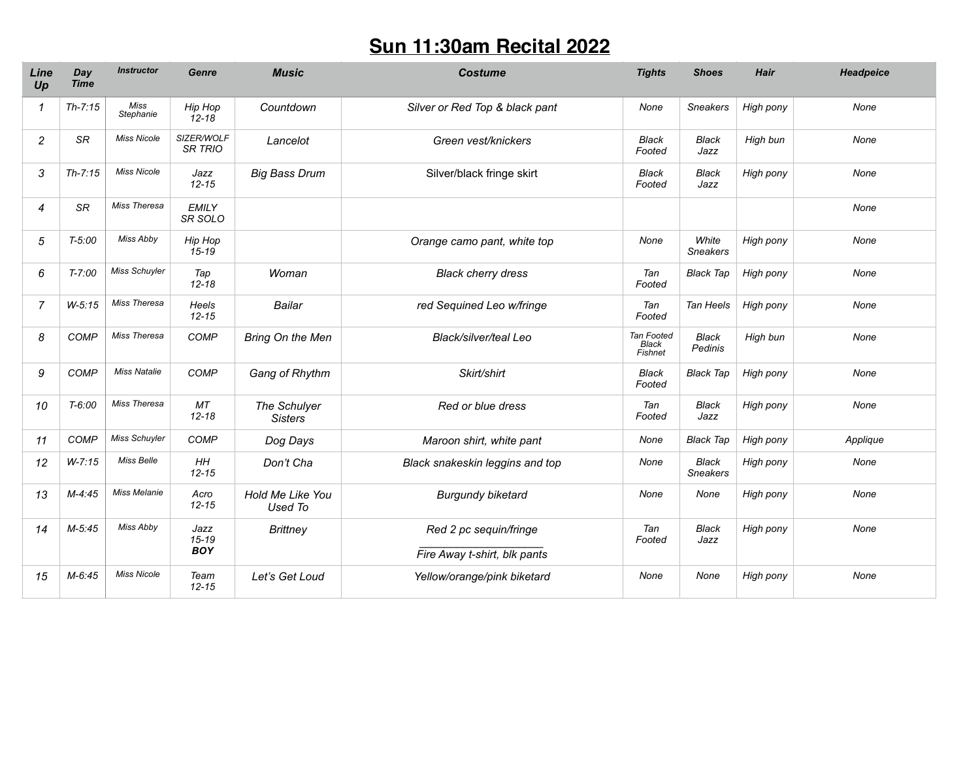#### **Sun 11:30am Recital 2022**

| Line<br>Up     | Day<br><b>Time</b> | <b>Instructor</b>   | Genre                           | <b>Music</b>                   | <b>Costume</b>                                         | <b>Tights</b>                  | <b>Shoes</b>                    | <b>Hair</b> | <b>Headpeice</b> |
|----------------|--------------------|---------------------|---------------------------------|--------------------------------|--------------------------------------------------------|--------------------------------|---------------------------------|-------------|------------------|
| 1              | $Th-7:15$          | Miss<br>Stephanie   | Hip Hop<br>$12 - 18$            | Countdown                      | Silver or Red Top & black pant                         | None                           | <b>Sneakers</b>                 | High pony   | None             |
| $\overline{c}$ | SR                 | <b>Miss Nicole</b>  | SIZER/WOLF<br><b>SR TRIO</b>    | Lancelot                       | Green vest/knickers                                    | <b>Black</b><br>Footed         | <b>Black</b><br>Jazz            | High bun    | None             |
| 3              | $Th-7:15$          | <b>Miss Nicole</b>  | Jazz<br>$12 - 15$               | <b>Big Bass Drum</b>           | Silver/black fringe skirt                              | <b>Black</b><br>Footed         | <b>Black</b><br>Jazz            | High pony   | None             |
| $\overline{4}$ | SR                 | Miss Theresa        | <b>EMILY</b><br>SR SOLO         |                                |                                                        |                                |                                 |             | None             |
| 5              | $T - 5:00$         | Miss Abby           | Hip Hop<br>$15 - 19$            |                                | Orange camo pant, white top                            | None                           | White<br><b>Sneakers</b>        | High pony   | None             |
| 6              | $T - 7:00$         | Miss Schuyler       | Tap<br>$12 - 18$                | Woman                          | <b>Black cherry dress</b>                              | Tan<br>Footed                  | <b>Black Tap</b>                | High pony   | None             |
| $\overline{7}$ | $W-5:15$           | Miss Theresa        | Heels<br>$12 - 15$              | Bailar                         | red Sequined Leo w/fringe                              | Tan<br>Footed                  | Tan Heels                       | High pony   | None             |
| 8              | COMP               | Miss Theresa        | COMP                            | Bring On the Men               | Black/silver/teal Leo                                  | Tan Footed<br>Black<br>Fishnet | <b>Black</b><br>Pedinis         | High bun    | None             |
| 9              | COMP               | <b>Miss Natalie</b> | COMP                            | Gang of Rhythm                 | Skirt/shirt                                            | Black<br>Footed                | <b>Black Tap</b>                | High pony   | None             |
| 10             | $T-6:00$           | Miss Theresa        | <b>MT</b><br>$12 - 18$          | The Schulyer<br><b>Sisters</b> | Red or blue dress                                      | Tan<br>Footed                  | <b>Black</b><br>Jazz            | High pony   | None             |
| 11             | COMP               | Miss Schuyler       | <b>COMP</b>                     | Dog Days                       | Maroon shirt, white pant                               | None                           | <b>Black Tap</b>                | High pony   | Applique         |
| 12             | $W - 7:15$         | Miss Belle          | HH<br>$12 - 15$                 | Don't Cha                      | Black snakeskin leggins and top                        | None                           | <b>Black</b><br><b>Sneakers</b> | High pony   | None             |
| 13             | $M-4:45$           | Miss Melanie        | Acro<br>$12 - 15$               | Hold Me Like You<br>Used To    | <b>Burgundy biketard</b>                               | None                           | None                            | High pony   | None             |
| 14             | $M-5:45$           | Miss Abby           | Jazz<br>$15 - 19$<br><b>BOY</b> | <b>Brittney</b>                | Red 2 pc sequin/fringe<br>Fire Away t-shirt, blk pants | Tan<br>Footed                  | <b>Black</b><br>Jazz            | High pony   | None             |
| 15             | $M-6:45$           | <b>Miss Nicole</b>  | Team<br>$12 - 15$               | Let's Get Loud                 | Yellow/orange/pink biketard                            | None                           | None                            | High pony   | None             |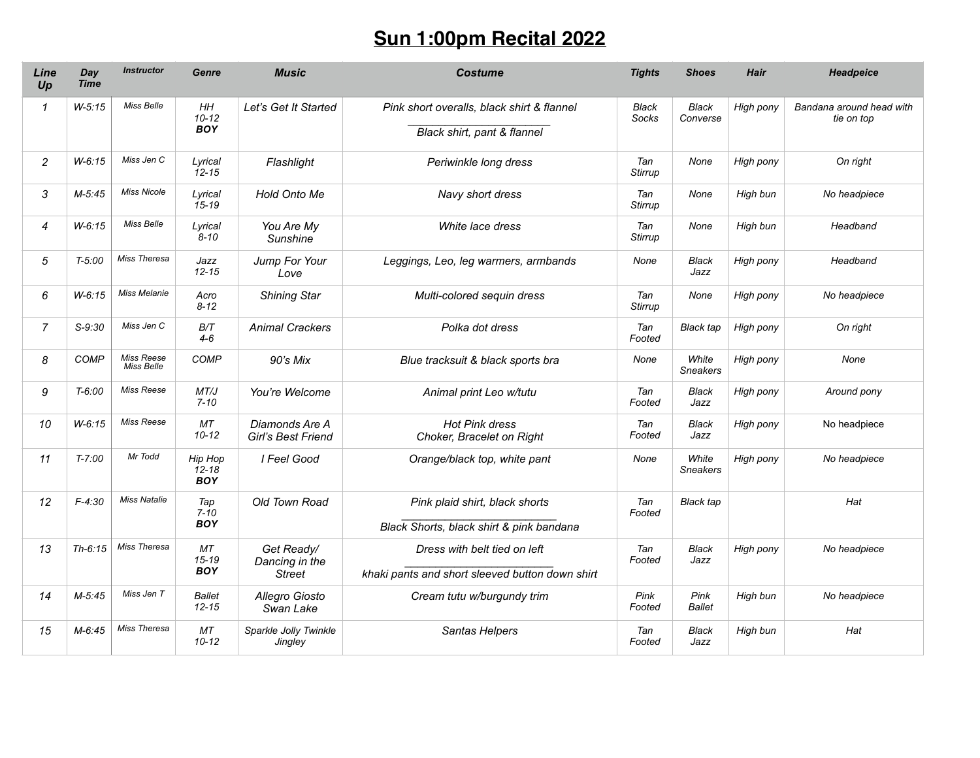# **Sun 1:00pm Recital 2022**

| Line<br>Up     | Day<br><b>Time</b> | <b>Instructor</b>               | Genre                                | <b>Music</b>                                  | <b>Costume</b>                                                                  | <b>Tights</b>         | <b>Shoes</b>             | <b>Hair</b> | Headpeice                              |
|----------------|--------------------|---------------------------------|--------------------------------------|-----------------------------------------------|---------------------------------------------------------------------------------|-----------------------|--------------------------|-------------|----------------------------------------|
| $\mathbf{1}$   | $W - 5:15$         | Miss Belle                      | <b>HH</b><br>$10 - 12$<br><b>BOY</b> | Let's Get It Started                          | Pink short overalls, black shirt & flannel<br>Black shirt, pant & flannel       | <b>Black</b><br>Socks | <b>Black</b><br>Converse | High pony   | Bandana around head with<br>tie on top |
| $\overline{c}$ | $W-6:15$           | Miss Jen C                      | Lyrical<br>$12 - 15$                 | Flashlight                                    | Periwinkle long dress                                                           | Tan<br><b>Stirrup</b> | None                     | High pony   | On right                               |
| 3              | $M-5:45$           | <b>Miss Nicole</b>              | Lyrical<br>$15 - 19$                 | Hold Onto Me                                  | Navy short dress                                                                | Tan<br>Stirrup        | None                     | High bun    | No headpiece                           |
| $\overline{4}$ | $W-6:15$           | Miss Belle                      | Lyrical<br>$8 - 10$                  | You Are My<br>Sunshine                        | White lace dress                                                                | Tan<br>Stirrup        | None                     | High bun    | Headband                               |
| 5              | $T - 5:00$         | <b>Miss Theresa</b>             | Jazz<br>$12 - 15$                    | Jump For Your<br>Love                         | Leggings, Leo, leg warmers, armbands                                            | None                  | Black<br>Jazz            | High pony   | Headband                               |
| 6              | $W-6:15$           | <b>Miss Melanie</b>             | Acro<br>$8 - 12$                     | <b>Shining Star</b>                           | Multi-colored sequin dress                                                      | Tan<br>Stirrup        | None                     | High pony   | No headpiece                           |
| $\overline{7}$ | $S-9:30$           | Miss Jen C                      | B/T<br>$4 - 6$                       | <b>Animal Crackers</b>                        | Polka dot dress                                                                 | Tan<br>Footed         | <b>Black tap</b>         | High pony   | On right                               |
| 8              | COMP               | <b>Miss Reese</b><br>Miss Belle | <b>COMP</b>                          | 90's Mix                                      | Blue tracksuit & black sports bra                                               | None                  | White<br><b>Sneakers</b> | High pony   | None                                   |
| 9              | $T-6:00$           | Miss Reese                      | MT/J<br>$7 - 10$                     | You're Welcome                                | Animal print Leo w/tutu                                                         | Tan<br>Footed         | Black<br>Jazz            | High pony   | Around pony                            |
| 10             | $W-6:15$           | Miss Reese                      | MT<br>$10 - 12$                      | Diamonds Are A<br>Girl's Best Friend          | <b>Hot Pink dress</b><br>Choker, Bracelet on Right                              | Tan<br>Footed         | <b>Black</b><br>Jazz     | High pony   | No headpiece                           |
| 11             | $T - 7:00$         | Mr Todd                         | Hip Hop<br>$12 - 18$<br><b>BOY</b>   | I Feel Good                                   | Orange/black top, white pant                                                    | None                  | White<br><b>Sneakers</b> | High pony   | No headpiece                           |
| 12             | $F-4:30$           | <b>Miss Natalie</b>             | Tap<br>$7 - 10$<br><b>BOY</b>        | Old Town Road                                 | Pink plaid shirt, black shorts<br>Black Shorts, black shirt & pink bandana      | Tan<br>Footed         | <b>Black tap</b>         |             | Hat                                    |
| 13             | $Th-6:15$          | Miss Theresa                    | MT<br>$15 - 19$<br><b>BOY</b>        | Get Ready/<br>Dancing in the<br><b>Street</b> | Dress with belt tied on left<br>khaki pants and short sleeved button down shirt | Tan<br>Footed         | Black<br>Jazz            | High pony   | No headpiece                           |
| 14             | $M-5:45$           | Miss Jen T                      | <b>Ballet</b><br>$12 - 15$           | Allegro Giosto<br>Swan Lake                   | Cream tutu w/burgundy trim                                                      | Pink<br>Footed        | Pink<br>Ballet           | High bun    | No headpiece                           |
| 15             | $M-6:45$           | Miss Theresa                    | MT<br>$10 - 12$                      | Sparkle Jolly Twinkle<br>Jingley              | Santas Helpers                                                                  | Tan<br>Footed         | Black<br>Jazz            | High bun    | Hat                                    |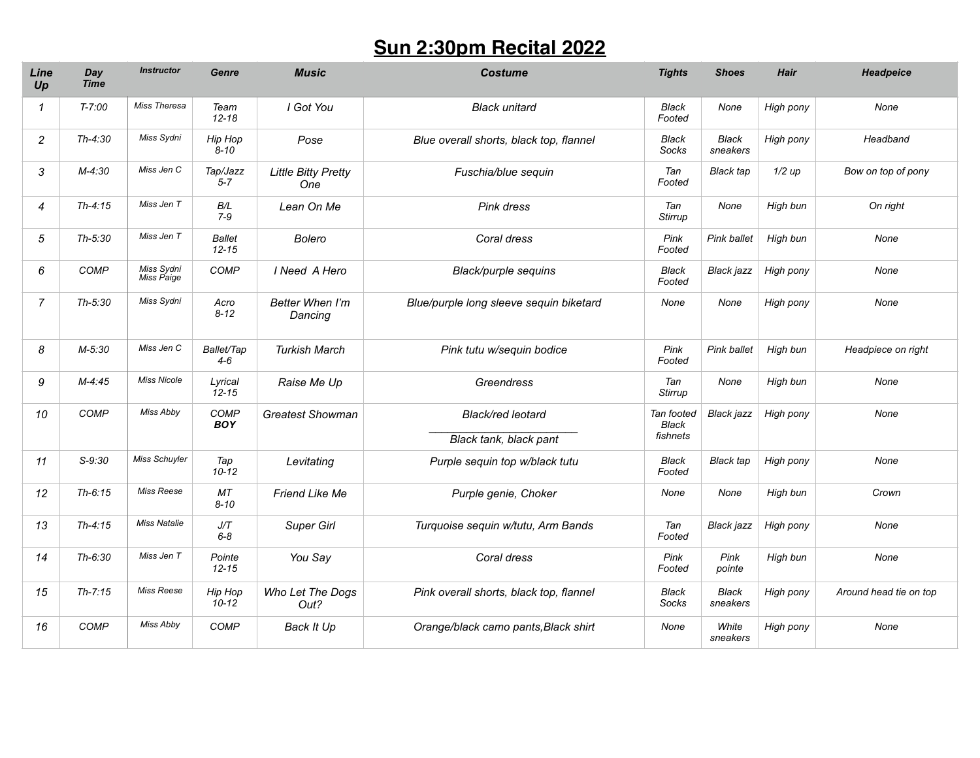#### **Sun 2:30pm Recital 2022**

| Line<br>Up     | Day<br><b>Time</b> | <b>Instructor</b>        | Genre                      | <b>Music</b>                      | <b>Costume</b>                              | <b>Tights</b>                          | <b>Shoes</b>      | <b>Hair</b> | Headpeice              |
|----------------|--------------------|--------------------------|----------------------------|-----------------------------------|---------------------------------------------|----------------------------------------|-------------------|-------------|------------------------|
| $\mathcal{I}$  | $T - 7:00$         | Miss Theresa             | Team<br>$12 - 18$          | I Got You                         | <b>Black unitard</b>                        | <b>Black</b><br>Footed                 | None              | High pony   | None                   |
| $\overline{c}$ | $Th-4:30$          | Miss Sydni               | Hip Hop<br>$8 - 10$        | Pose                              | Blue overall shorts, black top, flannel     | <b>Black</b><br>Socks                  | Black<br>sneakers | High pony   | Headband               |
| 3              | M-4:30             | Miss Jen C               | Tap/Jazz<br>$5 - 7$        | <b>Little Bitty Pretty</b><br>One | Fuschia/blue sequin                         | Tan<br>Footed                          | Black tap         | $1/2$ up    | Bow on top of pony     |
| 4              | $Th-4:15$          | Miss Jen T               | B/L<br>$7 - 9$             | Lean On Me                        | Pink dress                                  | Tan<br><b>Stirrup</b>                  | None              | High bun    | On right               |
| 5              | $Th-5:30$          | Miss Jen T               | <b>Ballet</b><br>$12 - 15$ | <b>Bolero</b>                     | Coral dress                                 | Pink<br>Footed                         | Pink ballet       | High bun    | None                   |
| 6              | COMP               | Miss Sydni<br>Miss Paige | COMP                       | I Need A Hero                     | Black/purple sequins                        | <b>Black</b><br>Footed                 | Black jazz        | High pony   | None                   |
| $\overline{7}$ | $Th-5:30$          | Miss Sydni               | Acro<br>$8 - 12$           | Better When I'm<br>Dancing        | Blue/purple long sleeve sequin biketard     | None                                   | None              | High pony   | None                   |
| 8              | $M-5:30$           | Miss Jen C               | Ballet/Tap<br>$4 - 6$      | <b>Turkish March</b>              | Pink tutu w/sequin bodice                   | Pink<br>Footed                         | Pink ballet       | High bun    | Headpiece on right     |
| 9              | $M-4:45$           | <b>Miss Nicole</b>       | Lyrical<br>$12 - 15$       | Raise Me Up                       | <b>Greendress</b>                           | Tan<br><b>Stirrup</b>                  | None              | High bun    | None                   |
| 10             | <b>COMP</b>        | Miss Abby                | COMP<br><b>BOY</b>         | <b>Greatest Showman</b>           | Black/red leotard<br>Black tank, black pant | Tan footed<br><b>Black</b><br>fishnets | Black jazz        | High pony   | None                   |
| 11             | $S-9:30$           | Miss Schuyler            | Tap<br>$10 - 12$           | Levitating                        | Purple sequin top w/black tutu              | <b>Black</b><br>Footed                 | <b>Black</b> tap  | High pony   | None                   |
| 12             | $Th-6:15$          | Miss Reese               | MT<br>$8 - 10$             | Friend Like Me                    | Purple genie, Choker                        | None                                   | None              | High bun    | Crown                  |
| 13             | $Th-4:15$          | <b>Miss Natalie</b>      | J/T<br>$6 - 8$             | <b>Super Girl</b>                 | Turquoise sequin w/tutu, Arm Bands          | Tan<br>Footed                          | <b>Black</b> jazz | High pony   | None                   |
| 14             | $Th-6:30$          | Miss Jen T               | Pointe<br>$12 - 15$        | You Say                           | Coral dress                                 | Pink<br>Footed                         | Pink<br>pointe    | High bun    | None                   |
| 15             | $Th - 7:15$        | <b>Miss Reese</b>        | Hip Hop<br>$10 - 12$       | Who Let The Dogs<br>Out?          | Pink overall shorts, black top, flannel     | <b>Black</b><br>Socks                  | Black<br>sneakers | High pony   | Around head tie on top |
| 16             | <b>COMP</b>        | Miss Abby                | <b>COMP</b>                | Back It Up                        | Orange/black camo pants, Black shirt        | None                                   | White<br>sneakers | High pony   | None                   |